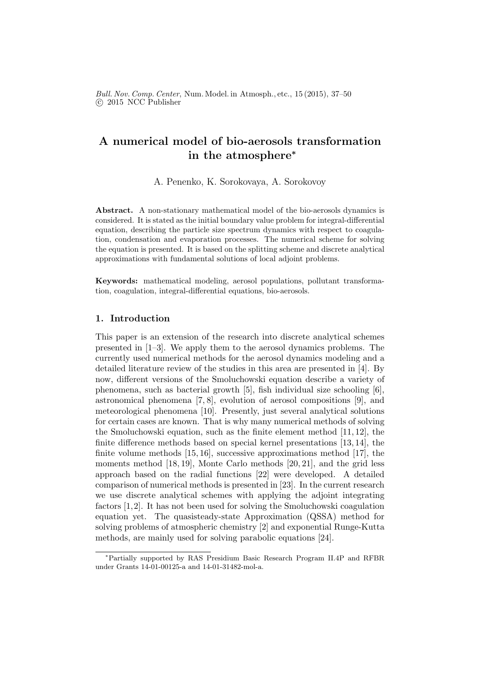Bull. Nov. Comp. Center, Num. Model. in Atmosph., etc., 15 (2015), 37–50 c 2015 NCC Publisher

# A numerical model of bio-aerosols transformation in the atmosphere<sup>∗</sup>

A. Penenko, K. Sorokovaya, A. Sorokovoy

Abstract. A non-stationary mathematical model of the bio-aerosols dynamics is considered. It is stated as the initial boundary value problem for integral-differential equation, describing the particle size spectrum dynamics with respect to coagulation, condensation and evaporation processes. The numerical scheme for solving the equation is presented. It is based on the splitting scheme and discrete analytical approximations with fundamental solutions of local adjoint problems.

Keywords: mathematical modeling, aerosol populations, pollutant transformation, coagulation, integral-differential equations, bio-aerosols.

### 1. Introduction

This paper is an extension of the research into discrete analytical schemes presented in [1–3]. We apply them to the aerosol dynamics problems. The currently used numerical methods for the aerosol dynamics modeling and a detailed literature review of the studies in this area are presented in [4]. By now, different versions of the Smoluchowski equation describe a variety of phenomena, such as bacterial growth [5], fish individual size schooling [6], astronomical phenomena [7, 8], evolution of aerosol compositions [9], and meteorological phenomena [10]. Presently, just several analytical solutions for certain cases are known. That is why many numerical methods of solving the Smoluchowski equation, such as the finite element method [11, 12], the finite difference methods based on special kernel presentations [13, 14], the finite volume methods [15, 16], successive approximations method [17], the moments method [18, 19], Monte Carlo methods [20, 21], and the grid less approach based on the radial functions [22] were developed. A detailed comparison of numerical methods is presented in [23]. In the current research we use discrete analytical schemes with applying the adjoint integrating factors [1,2]. It has not been used for solving the Smoluchowski coagulation equation yet. The quasisteady-state Approximation (QSSA) method for solving problems of atmospheric chemistry [2] and exponential Runge-Kutta methods, are mainly used for solving parabolic equations [24].

<sup>∗</sup>Partially supported by RAS Presidium Basic Research Program II.4P and RFBR under Grants 14-01-00125-a and 14-01-31482-mol-a.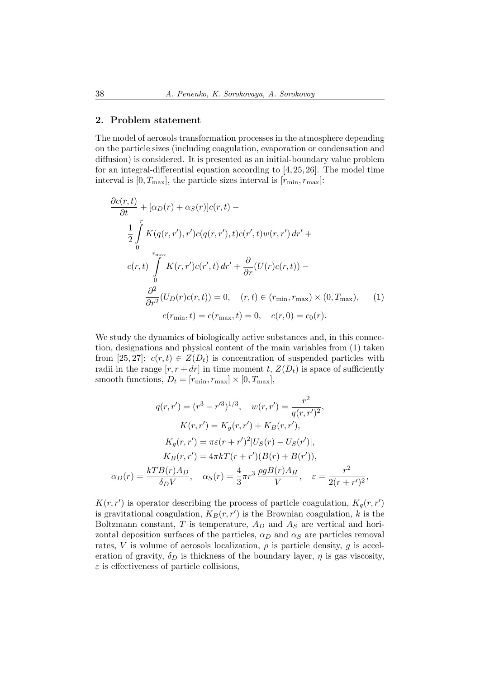### 2. Problem statement

The model of aerosols transformation processes in the atmosphere depending on the particle sizes (including coagulation, evaporation or condensation and diffusion) is considered. It is presented as an initial-boundary value problem for an integral-differential equation according to [4, 25, 26]. The model time interval is  $[0, T_{\text{max}}]$ , the particle sizes interval is  $[r_{\text{min}}, r_{\text{max}}]$ :

$$
\frac{\partial c(r,t)}{\partial t} + [\alpha_D(r) + \alpha_S(r)]c(r,t) -
$$
\n
$$
\frac{1}{2} \int_{0}^{r} K(q(r,r'),r')c(q(r,r'),t)c(r',t)w(r,r') dr' +
$$
\n
$$
c(r,t) \int_{0}^{r_{\text{max}}} K(r,r')c(r',t) dr' + \frac{\partial}{\partial r} (U(r)c(r,t)) -
$$
\n
$$
\frac{\partial^2}{\partial r^2} (U_D(r)c(r,t)) = 0, \quad (r,t) \in (r_{\text{min}}, r_{\text{max}}) \times (0, T_{\text{max}}), \quad (1)
$$
\n
$$
c(r_{\text{min}},t) = c(r_{\text{max}},t) = 0, \quad c(r,0) = c_0(r).
$$

We study the dynamics of biologically active substances and, in this connection, designations and physical content of the main variables from (1) taken from [25, 27]:  $c(r, t) \in Z(D_t)$  is concentration of suspended particles with radii in the range  $[r, r + dr]$  in time moment t,  $Z(D_t)$  is space of sufficiently smooth functions,  $D_t = [r_{\min}, r_{\max}] \times [0, T_{\max}],$ 

$$
q(r,r') = (r^3 - r'^3)^{1/3}, \quad w(r,r') = \frac{r^2}{q(r,r')^2},
$$

$$
K(r,r') = K_g(r,r') + K_B(r,r'),
$$

$$
K_g(r,r') = \pi\varepsilon(r+r')^2|U_S(r) - U_S(r')|,
$$

$$
K_B(r,r') = 4\pi kT(r+r')(B(r) + B(r')),
$$

$$
\alpha_D(r) = \frac{kTB(r)A_D}{\delta_D V}, \quad \alpha_S(r) = \frac{4}{3}\pi r^3 \frac{\rho gB(r)A_H}{V}, \quad \varepsilon = \frac{r^2}{2(r+r')^2},
$$

 $K(r, r')$  is operator describing the process of particle coagulation,  $K_g(r, r')$ is gravitational coagulation,  $K_B(r, r')$  is the Brownian coagulation, k is the Boltzmann constant,  $T$  is temperature,  $A_D$  and  $A_S$  are vertical and horizontal deposition surfaces of the particles,  $\alpha_D$  and  $\alpha_S$  are particles removal rates, V is volume of aerosols localization,  $\rho$  is particle density, g is acceleration of gravity,  $\delta_D$  is thickness of the boundary layer,  $\eta$  is gas viscosity,  $\varepsilon$  is effectiveness of particle collisions,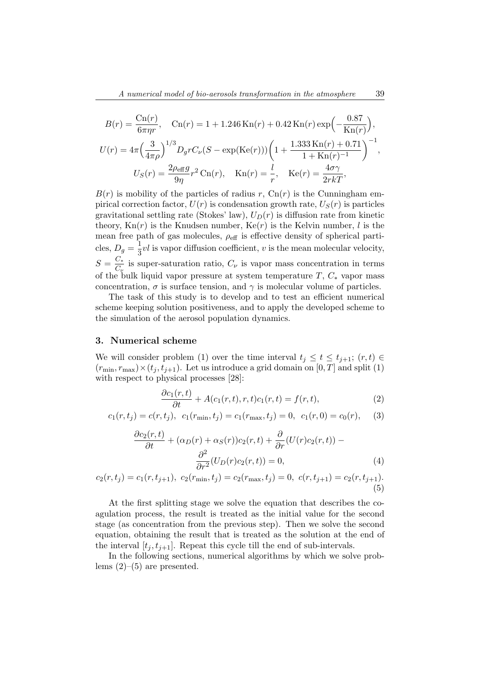$$
B(r) = \frac{\text{Cn}(r)}{6\pi\eta r}, \quad \text{Cn}(r) = 1 + 1.246 \text{Kn}(r) + 0.42 \text{Kn}(r) \exp\left(-\frac{0.87}{\text{Kn}(r)}\right),
$$
  

$$
U(r) = 4\pi \left(\frac{3}{4\pi\rho}\right)^{1/3} D_g r C_\nu (S - \exp(\text{Ke}(r))) \left(1 + \frac{1.333 \text{Kn}(r) + 0.71}{1 + \text{Kn}(r)^{-1}}\right)^{-1},
$$
  

$$
U_S(r) = \frac{2\rho_{\text{eff}} g}{9\eta} r^2 \text{Cn}(r), \quad \text{Kn}(r) = \frac{l}{r}, \quad \text{Ke}(r) = \frac{4\sigma\gamma}{2r kT},
$$

 $B(r)$  is mobility of the particles of radius r,  $C_n(r)$  is the Cunningham empirical correction factor,  $U(r)$  is condensation growth rate,  $U_S(r)$  is particles gravitational settling rate (Stokes' law),  $U_D(r)$  is diffusion rate from kinetic theory,  $Kn(r)$  is the Knudsen number,  $Ke(r)$  is the Kelvin number, l is the mean free path of gas molecules,  $\rho_{\text{eff}}$  is effective density of spherical particles,  $D_g = \frac{1}{3}$  $\frac{1}{3}vl$  is vapor diffusion coefficient, v is the mean molecular velocity,  $S=\frac{C_{*}}{C_{-}}$  $\frac{C_{\star}}{C_{\nu}}$  is super-saturation ratio,  $C_{\nu}$  is vapor mass concentration in terms of the bulk liquid vapor pressure at system temperature  $T, C_*$  vapor mass concentration,  $\sigma$  is surface tension, and  $\gamma$  is molecular volume of particles.

The task of this study is to develop and to test an efficient numerical scheme keeping solution positiveness, and to apply the developed scheme to the simulation of the aerosol population dynamics.

# 3. Numerical scheme

We will consider problem (1) over the time interval  $t_j \leq t \leq t_{j+1}$ ;  $(r, t) \in$  $(r_{\min}, r_{\max}) \times (t_i, t_{i+1})$ . Let us introduce a grid domain on [0, T] and split (1) with respect to physical processes [28]:

$$
\frac{\partial c_1(r,t)}{\partial t} + A(c_1(r,t),r,t)c_1(r,t) = f(r,t),\tag{2}
$$

$$
c_1(r, t_j) = c(r, t_j), \ c_1(r_{\min}, t_j) = c_1(r_{\max}, t_j) = 0, \ c_1(r, 0) = c_0(r), \tag{3}
$$

$$
\frac{\partial c_2(r,t)}{\partial t} + (\alpha_D(r) + \alpha_S(r))c_2(r,t) + \frac{\partial}{\partial r}(U(r)c_2(r,t)) - \frac{\partial^2}{\partial r^2}(U_D(r)c_2(r,t)) = 0,
$$
\n(4)

$$
c_2(r, t_j) = c_1(r, t_{j+1}), \ c_2(r_{\min}, t_j) = c_2(r_{\max}, t_j) = 0, \ c(r, t_{j+1}) = c_2(r, t_{j+1}).
$$
\n(5)

At the first splitting stage we solve the equation that describes the coagulation process, the result is treated as the initial value for the second stage (as concentration from the previous step). Then we solve the second equation, obtaining the result that is treated as the solution at the end of the interval  $[t_j, t_{j+1}]$ . Repeat this cycle till the end of sub-intervals.

In the following sections, numerical algorithms by which we solve problems  $(2)$ – $(5)$  are presented.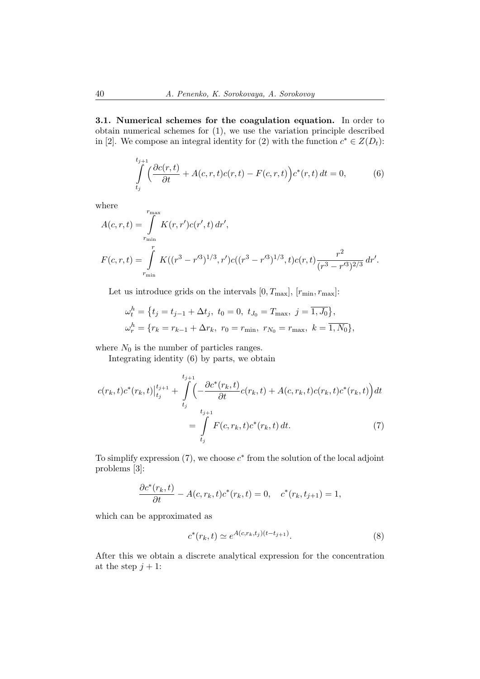3.1. Numerical schemes for the coagulation equation. In order to obtain numerical schemes for (1), we use the variation principle described in [2]. We compose an integral identity for (2) with the function  $c^* \in Z(D_t)$ :

$$
\int_{t_j}^{t_{j+1}} \left( \frac{\partial c(r,t)}{\partial t} + A(c,r,t)c(r,t) - F(c,r,t) \right) c^*(r,t) dt = 0,
$$
\n(6)

where

$$
A(c,r,t) = \int_{r_{\min}}^{r_{\max}} K(r,r')c(r',t) dr',
$$
  
\n
$$
F(c,r,t) = \int_{r_{\min}}^{r} K((r^3 - r'^3)^{1/3}, r')c((r^3 - r'^3)^{1/3}, t)c(r,t) \frac{r^2}{(r^3 - r'^3)^{2/3}} dr'.
$$

Let us introduce grids on the intervals  $[0, T_{\text{max}}]$ ,  $[r_{\text{min}}, r_{\text{max}}]$ :

$$
\omega_t^h = \{ t_j = t_{j-1} + \Delta t_j, \ t_0 = 0, \ t_{J_0} = T_{\text{max}}, \ j = \overline{1, J_0} \},
$$
  

$$
\omega_r^h = \{ r_k = r_{k-1} + \Delta r_k, \ r_0 = r_{\text{min}}, \ r_{N_0} = r_{\text{max}}, \ k = \overline{1, N_0} \},
$$

where  $N_0$  is the number of particles ranges.

Integrating identity (6) by parts, we obtain

$$
c(r_k, t)c^*(r_k, t)|_{t_j}^{t_{j+1}} + \int_{t_j}^{t_{j+1}} \left( -\frac{\partial c^*(r_k, t)}{\partial t} c(r_k, t) + A(c, r_k, t)c(r_k, t)c^*(r_k, t) \right) dt
$$
  

$$
= \int_{t_j}^{t_{j+1}} F(c, r_k, t)c^*(r_k, t) dt.
$$
 (7)

To simplify expression  $(7)$ , we choose  $c^*$  from the solution of the local adjoint problems [3]:

$$
\frac{\partial c^*(r_k, t)}{\partial t} - A(c, r_k, t)c^*(r_k, t) = 0, \quad c^*(r_k, t_{j+1}) = 1,
$$

which can be approximated as

$$
c^*(r_k, t) \simeq e^{A(c, r_k, t_j)(t - t_{j+1})}.\tag{8}
$$

After this we obtain a discrete analytical expression for the concentration at the step  $j + 1$ :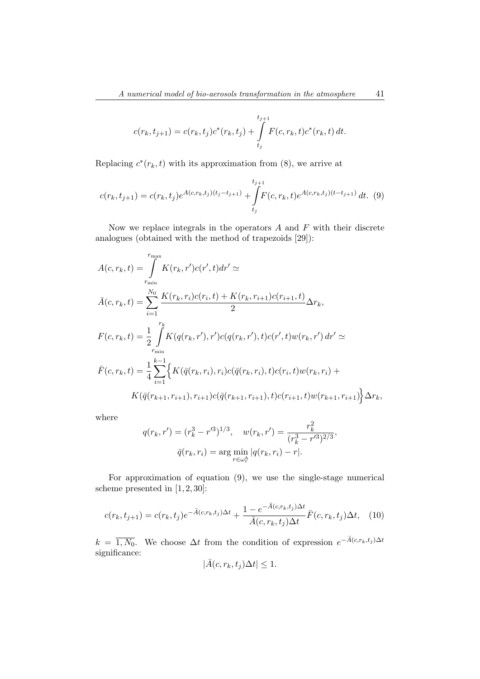$$
c(r_k, t_{j+1}) = c(r_k, t_j)c^*(r_k, t_j) + \int_{t_j}^{t_{j+1}} F(c, r_k, t)c^*(r_k, t) dt.
$$

Replacing  $c^*(r_k, t)$  with its approximation from (8), we arrive at

$$
c(r_k, t_{j+1}) = c(r_k, t_j)e^{A(c, r_k, t_j)(t_j - t_{j+1})} + \int_{t_j}^{t_{j+1}} F(c, r_k, t)e^{A(c, r_k, t_j)(t - t_{j+1})} dt.
$$
 (9)

Now we replace integrals in the operators  $A$  and  $F$  with their discrete analogues (obtained with the method of trapezoids [29]):

$$
A(c, r_k, t) = \int_{r_{\min}}^{r_{\max}} K(r_k, r')c(r', t)dr' \simeq
$$
  
\n
$$
\bar{A}(c, r_k, t) = \sum_{i=1}^{N_0} \frac{K(r_k, r_i)c(r_i, t) + K(r_k, r_{i+1})c(r_{i+1}, t)}{2} \Delta r_k,
$$
  
\n
$$
F(c, r_k, t) = \frac{1}{2} \int_{r_{\min}}^{r_k} K(q(r_k, r'), r')c(q(r_k, r'), t)c(r', t)w(r_k, r') dr' \simeq
$$
  
\n
$$
\bar{F}(c, r_k, t) = \frac{1}{4} \sum_{i=1}^{k-1} \Big\{ K(\bar{q}(r_k, r_i), r_i)c(\bar{q}(r_k, r_i), t)c(r_i, t)w(r_k, r_i) + K(\bar{q}(r_{k+1}, r_{i+1}), r_{i+1})c(\bar{q}(r_{k+1}, r_{i+1}), t)c(r_{i+1}, t)w(r_{k+1}, r_{i+1}) \Big\} \Delta r_k,
$$

where

$$
q(r_k, r') = (r_k^3 - r'^3)^{1/3}, \quad w(r_k, r') = \frac{r_k^2}{(r_k^3 - r'^3)^{2/3}},
$$

$$
\bar{q}(r_k, r_i) = \arg\min_{r \in \omega_r^h} |q(r_k, r_i) - r|.
$$

For approximation of equation (9), we use the single-stage numerical scheme presented in [1, 2, 30]:

$$
c(r_k, t_{j+1}) = c(r_k, t_j)e^{-\bar{A}(c, r_k, t_j)\Delta t} + \frac{1 - e^{-\bar{A}(c, r_k, t_j)\Delta t}}{\bar{A}(c, r_k, t_j)\Delta t}\bar{F}(c, r_k, t_j)\Delta t, \quad (10)
$$

 $k = \overline{1, N_0}$ . We choose  $\Delta t$  from the condition of expression  $e^{-\overline{A}(c,r_k,t_j)\Delta t}$ significance:

$$
|\bar{A}(c, r_k, t_j)\Delta t| \leq 1.
$$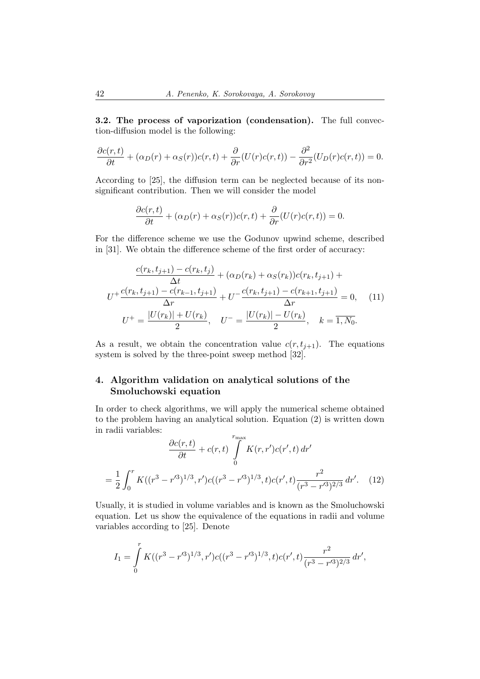3.2. The process of vaporization (condensation). The full convection-diffusion model is the following:

$$
\frac{\partial c(r,t)}{\partial t} + (\alpha_D(r) + \alpha_S(r))c(r,t) + \frac{\partial}{\partial r}(U(r)c(r,t)) - \frac{\partial^2}{\partial r^2}(U_D(r)c(r,t)) = 0.
$$

According to [25], the diffusion term can be neglected because of its nonsignificant contribution. Then we will consider the model

$$
\frac{\partial c(r,t)}{\partial t} + (\alpha_D(r) + \alpha_S(r))c(r,t) + \frac{\partial}{\partial r}(U(r)c(r,t)) = 0.
$$

For the difference scheme we use the Godunov upwind scheme, described in [31]. We obtain the difference scheme of the first order of accuracy:

$$
\frac{c(r_k, t_{j+1}) - c(r_k, t_j)}{\Delta t} + (\alpha_D(r_k) + \alpha_S(r_k))c(r_k, t_{j+1}) + U^+ \frac{c(r_k, t_{j+1}) - c(r_{k-1}, t_{j+1})}{\Delta r} + U^- \frac{c(r_k, t_{j+1}) - c(r_{k+1}, t_{j+1})}{\Delta r} = 0,
$$
(11)  

$$
U^+ = \frac{|U(r_k)| + U(r_k)}{2}, \quad U^- = \frac{|U(r_k)| - U(r_k)}{2}, \quad k = \overline{1, N_0}.
$$

As a result, we obtain the concentration value  $c(r, t_{j+1})$ . The equations system is solved by the three-point sweep method [32].

# 4. Algorithm validation on analytical solutions of the Smoluchowski equation

In order to check algorithms, we will apply the numerical scheme obtained to the problem having an analytical solution. Equation (2) is written down in radii variables:  $\mathbf{r}$ 

$$
\frac{\partial c(r,t)}{\partial t} + c(r,t) \int_{0}^{\max} K(r,r')c(r',t) dr'
$$

$$
= \frac{1}{2} \int_{0}^{r} K((r^{3}-r'^{3})^{1/3},r')c((r^{3}-r'^{3})^{1/3},t)c(r',t)\frac{r^{2}}{(r^{3}-r'^{3})^{2/3}} dr'. \quad (12)
$$

Usually, it is studied in volume variables and is known as the Smoluchowski equation. Let us show the equivalence of the equations in radii and volume variables according to [25]. Denote

$$
I_1 = \int_0^r K((r^3 - r'^3)^{1/3}, r')c((r^3 - r'^3)^{1/3}, t)c(r', t)\frac{r^2}{(r^3 - r'^3)^{2/3}} dr',
$$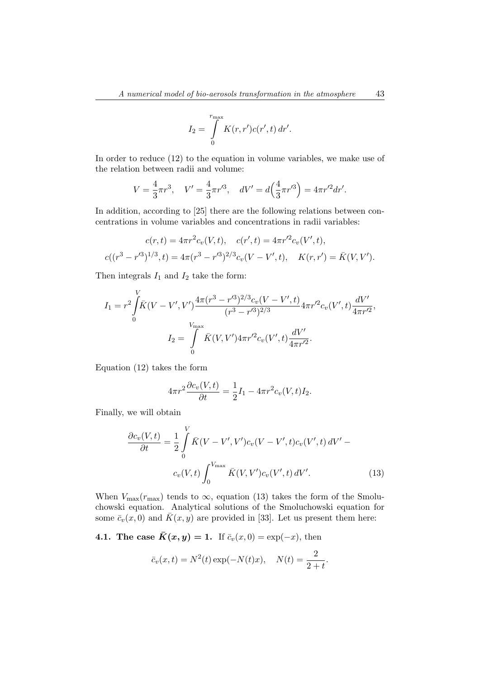$$
I_2 = \int\limits_0^{r_{\text{max}}} K(r, r') c(r', t) dr'.
$$

In order to reduce (12) to the equation in volume variables, we make use of the relation between radii and volume:

$$
V = \frac{4}{3}\pi r^3, \quad V' = \frac{4}{3}\pi r'^3, \quad dV' = d\left(\frac{4}{3}\pi r'^3\right) = 4\pi r'^2 dr'.
$$

In addition, according to [25] there are the following relations between concentrations in volume variables and concentrations in radii variables:

$$
c(r,t) = 4\pi r^2 c_v(V,t), \quad c(r',t) = 4\pi r'^2 c_v(V',t),
$$

$$
c((r^3 - r'^3)^{1/3}, t) = 4\pi (r^3 - r'^3)^{2/3} c_v(V - V', t), \quad K(r, r') = \bar{K}(V, V').
$$

Then integrals  $I_1$  and  $I_2$  take the form:

$$
I_1 = r^2 \int_0^V \overline{K}(V - V', V') \frac{4\pi (r^3 - r'^3)^{2/3} c_v (V - V', t)}{(r^3 - r'^3)^{2/3}} 4\pi r'^2 c_v (V', t) \frac{dV'}{4\pi r'^2},
$$
  

$$
I_2 = \int_0^{V_{\text{max}}} \overline{K}(V, V') 4\pi r'^2 c_v (V', t) \frac{dV'}{4\pi r'^2}.
$$

Equation (12) takes the form

$$
4\pi r^2 \frac{\partial c_v(V,t)}{\partial t} = \frac{1}{2}I_1 - 4\pi r^2 c_v(V,t)I_2.
$$

Finally, we will obtain

$$
\frac{\partial c_v(V,t)}{\partial t} = \frac{1}{2} \int_0^V \bar{K}(V - V', V') c_v(V - V', t) c_v(V', t) dV' - c_v(V, t) \int_0^{V_{\text{max}}} \bar{K}(V, V') c_v(V', t) dV'. \tag{13}
$$

When  $V_{\text{max}}(r_{\text{max}})$  tends to  $\infty$ , equation (13) takes the form of the Smoluchowski equation. Analytical solutions of the Smoluchowski equation for some  $\bar{c}_v(x, 0)$  and  $\bar{K}(x, y)$  are provided in [33]. Let us present them here:

4.1. The case  $\bar{K}(x, y) = 1$ . If  $\bar{c}_v(x, 0) = \exp(-x)$ , then

$$
\bar{c}_v(x,t) = N^2(t) \exp(-N(t)x), \quad N(t) = \frac{2}{2+t}.
$$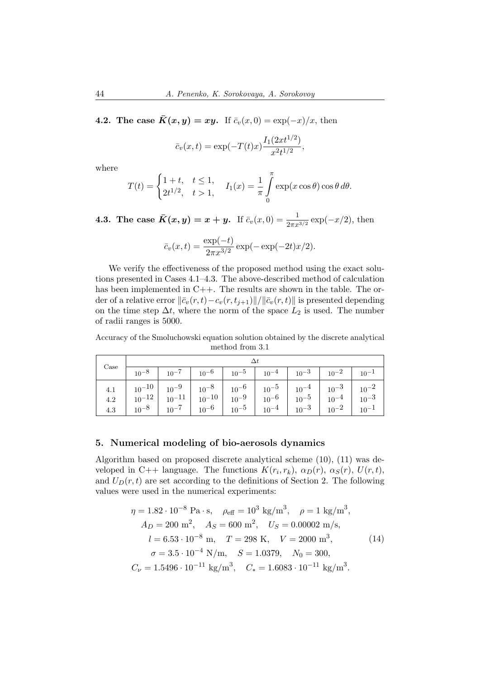4.2. The case  $\bar{K}(x, y) = xy$ . If  $\bar{c}_v(x, 0) = \exp(-x)/x$ , then

$$
\bar{c}_v(x,t) = \exp(-T(t)x) \frac{I_1(2xt^{1/2})}{x^2t^{1/2}},
$$

where

$$
T(t) = \begin{cases} 1+t, & t \le 1, \\ 2t^{1/2}, & t > 1, \end{cases} \quad I_1(x) = \frac{1}{\pi} \int_{0}^{\pi} \exp(x \cos \theta) \cos \theta \, d\theta.
$$

**4.3.** The case  $\bar{K}(x, y) = x + y$ . If  $\bar{c}_v(x, 0) = \frac{1}{2\pi x^{3/2}} \exp(-x/2)$ , then

$$
\bar{c}_v(x,t) = \frac{\exp(-t)}{2\pi x^{3/2}} \exp(-\exp(-2t)x/2).
$$

We verify the effectiveness of the proposed method using the exact solutions presented in Cases 4.1–4.3. The above-described method of calculation has been implemented in C++. The results are shown in the table. The order of a relative error  $\|\bar{c}_v(r, t)-c_v(r, t_{j+1})\|/\|\bar{c}_v(r, t)\|$  is presented depending on the time step  $\Delta t$ , where the norm of the space  $L_2$  is used. The number of radii ranges is 5000.

Accuracy of the Smoluchowski equation solution obtained by the discrete analytical method from 3.1

| $\operatorname{Case}$ |  |                                                                                                                   |  |  |  |  |  |  |
|-----------------------|--|-------------------------------------------------------------------------------------------------------------------|--|--|--|--|--|--|
|                       |  | $10^{-8}$   $10^{-7}$   $10^{-6}$   $10^{-5}$   $10^{-4}$   $10^{-3}$   $10^{-2}$   $10^{-1}$                     |  |  |  |  |  |  |
|                       |  |                                                                                                                   |  |  |  |  |  |  |
|                       |  | 4.3 $\begin{vmatrix} 10^{-8} & 10^{-7} & 10^{-6} & 10^{-5} & 10^{-4} & 10^{-3} & 10^{-2} & 10^{-1} \end{vmatrix}$ |  |  |  |  |  |  |

### 5. Numerical modeling of bio-aerosols dynamics

Algorithm based on proposed discrete analytical scheme (10), (11) was developed in C++ language. The functions  $K(r_i, r_k)$ ,  $\alpha_D(r)$ ,  $\alpha_S(r)$ ,  $U(r, t)$ , and  $U_D(r, t)$  are set according to the definitions of Section 2. The following values were used in the numerical experiments:

$$
\eta = 1.82 \cdot 10^{-8} \text{ Pa} \cdot \text{s}, \quad \rho_{\text{eff}} = 10^{3} \text{ kg/m}^{3}, \quad \rho = 1 \text{ kg/m}^{3},
$$
  
\n
$$
A_D = 200 \text{ m}^{2}, \quad A_S = 600 \text{ m}^{2}, \quad U_S = 0.00002 \text{ m/s},
$$
  
\n
$$
l = 6.53 \cdot 10^{-8} \text{ m}, \quad T = 298 \text{ K}, \quad V = 2000 \text{ m}^{3},
$$
  
\n
$$
\sigma = 3.5 \cdot 10^{-4} \text{ N/m}, \quad S = 1.0379, \quad N_0 = 300,
$$
  
\n
$$
C_{\nu} = 1.5496 \cdot 10^{-11} \text{ kg/m}^{3}, \quad C_{\ast} = 1.6083 \cdot 10^{-11} \text{ kg/m}^{3}.
$$
  
\n(14)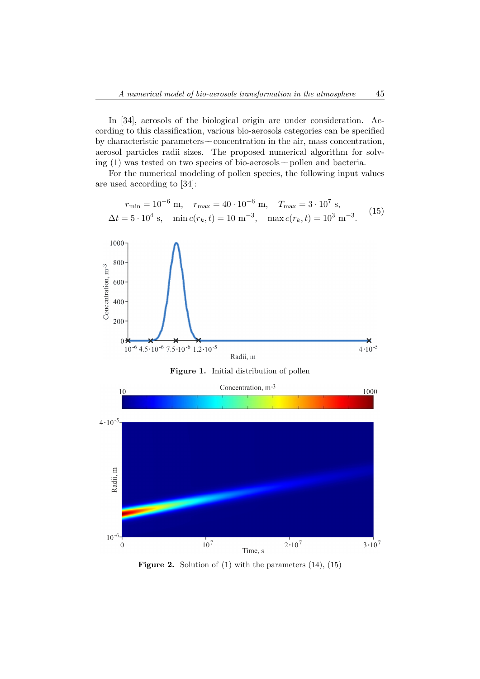In [34], aerosols of the biological origin are under consideration. According to this classification, various bio-aerosols categories can be specified by characteristic parameters –– concentration in the air, mass concentration, aerosol particles radii sizes. The proposed numerical algorithm for solving (1) was tested on two species of bio-aerosols –– pollen and bacteria.

For the numerical modeling of pollen species, the following input values are used according to [34]:

$$
r_{\min} = 10^{-6} \text{ m}, \quad r_{\max} = 40 \cdot 10^{-6} \text{ m}, \quad T_{\max} = 3 \cdot 10^{7} \text{ s},
$$
  

$$
\Delta t = 5 \cdot 10^{4} \text{ s}, \quad \min c(r_{k}, t) = 10 \text{ m}^{-3}, \quad \max c(r_{k}, t) = 10^{3} \text{ m}^{-3}.
$$
 (15)







**Figure 2.** Solution of  $(1)$  with the parameters  $(14)$ ,  $(15)$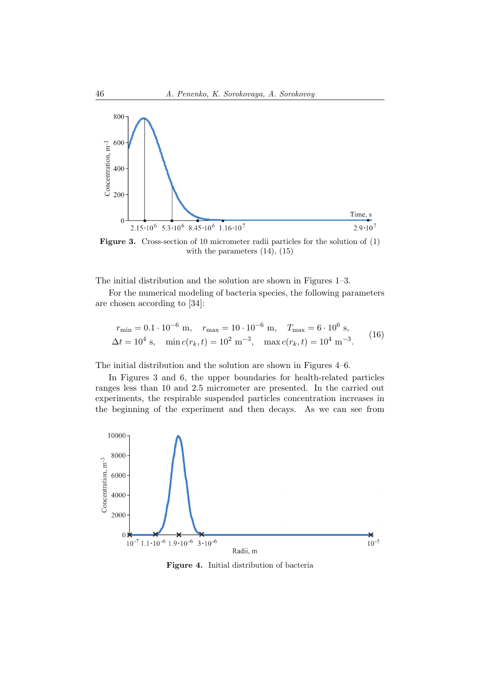

Figure 3. Cross-section of 10 micrometer radii particles for the solution of (1) with the parameters (14), (15)

The initial distribution and the solution are shown in Figures 1–3.

For the numerical modeling of bacteria species, the following parameters are chosen according to [34]:

$$
r_{\min} = 0.1 \cdot 10^{-6} \text{ m}, \quad r_{\max} = 10 \cdot 10^{-6} \text{ m}, \quad T_{\max} = 6 \cdot 10^{6} \text{ s},
$$
  

$$
\Delta t = 10^{4} \text{ s}, \quad \min c(r_{k}, t) = 10^{2} \text{ m}^{-3}, \quad \max c(r_{k}, t) = 10^{4} \text{ m}^{-3}.
$$
 (16)

The initial distribution and the solution are shown in Figures 4–6.

In Figures 3 and 6, the upper boundaries for health-related particles ranges less than 10 and 2.5 micrometer are presented. In the carried out experiments, the respirable suspended particles concentration increases in the beginning of the experiment and then decays. As we can see from



Figure 4. Initial distribution of bacteria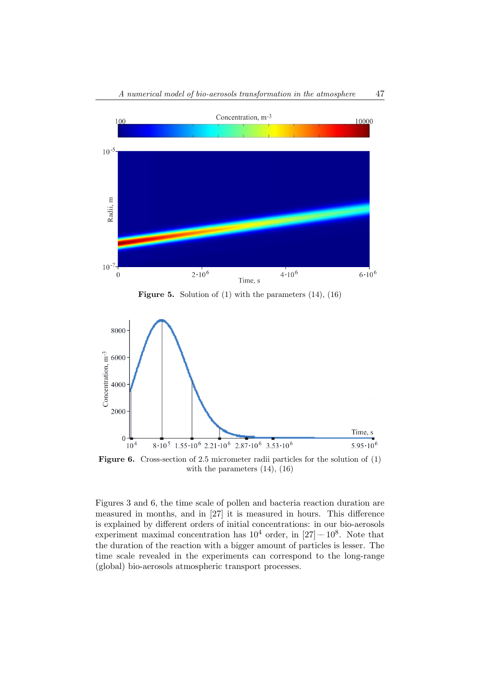

**Figure 5.** Solution of  $(1)$  with the parameters  $(14)$ ,  $(16)$ 



Figure 6. Cross-section of 2.5 micrometer radii particles for the solution of (1) with the parameters (14), (16)

Figures 3 and 6, the time scale of pollen and bacteria reaction duration are measured in months, and in [27] it is measured in hours. This difference is explained by different orders of initial concentrations: in our bio-aerosols experiment maximal concentration has  $10^4$  order, in  $[27]-10^8$ . Note that the duration of the reaction with a bigger amount of particles is lesser. The time scale revealed in the experiments can correspond to the long-range (global) bio-aerosols atmospheric transport processes.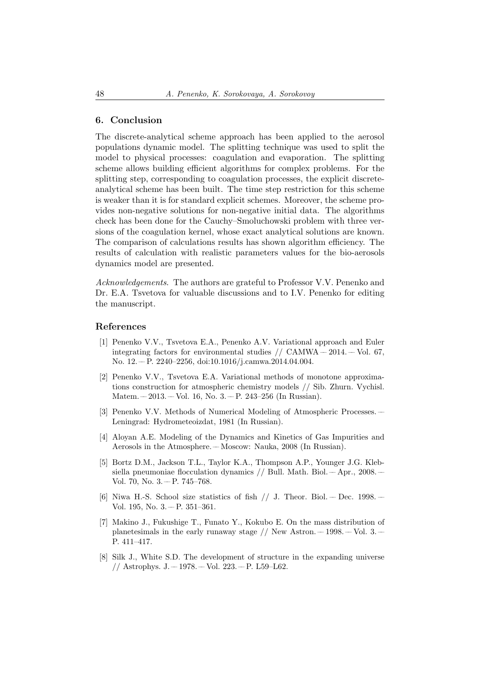# 6. Conclusion

The discrete-analytical scheme approach has been applied to the aerosol populations dynamic model. The splitting technique was used to split the model to physical processes: coagulation and evaporation. The splitting scheme allows building efficient algorithms for complex problems. For the splitting step, corresponding to coagulation processes, the explicit discreteanalytical scheme has been built. The time step restriction for this scheme is weaker than it is for standard explicit schemes. Moreover, the scheme provides non-negative solutions for non-negative initial data. The algorithms check has been done for the Cauchy–Smoluchowski problem with three versions of the coagulation kernel, whose exact analytical solutions are known. The comparison of calculations results has shown algorithm efficiency. The results of calculation with realistic parameters values for the bio-aerosols dynamics model are presented.

Acknowledgements. The authors are grateful to Professor V.V. Penenko and Dr. E.A. Tsvetova for valuable discussions and to I.V. Penenko for editing the manuscript.

### References

- [1] Penenko V.V., Tsvetova E.A., Penenko A.V. Variational approach and Euler integrating factors for environmental studies  $//$  CAMWA  $-$  2014.  $-$  Vol. 67, No. 12. –– P. 2240–2256, doi:10.1016/j.camwa.2014.04.004.
- [2] Penenko V.V., Tsvetova E.A. Variational methods of monotone approximations construction for atmospheric chemistry models // Sib. Zhurn. Vychisl. Matem.  $-2013. -$  Vol. 16, No. 3.  $-$  P. 243–256 (In Russian).
- [3] Penenko V.V. Methods of Numerical Modeling of Atmospheric Processes. –– Leningrad: Hydrometeoizdat, 1981 (In Russian).
- [4] Aloyan A.E. Modeling of the Dynamics and Kinetics of Gas Impurities and Aerosols in the Atmosphere. –– Moscow: Nauka, 2008 (In Russian).
- [5] Bortz D.M., Jackson T.L., Taylor K.A., Thompson A.P., Younger J.G. Klebsiella pneumoniae flocculation dynamics // Bull. Math. Biol. –– Apr., 2008. – Vol. 70, No.  $3 - P. 745 - 768$ .
- [6] Niwa H.-S. School size statistics of fish  $//$  J. Theor. Biol. Dec. 1998. Vol. 195, No. 3. - P. 351-361.
- [7] Makino J., Fukushige T., Funato Y., Kokubo E. On the mass distribution of planetesimals in the early runaway stage  $//$  New Astron.  $-1998$ .  $-$  Vol. 3.  $-$ P. 411–417.
- [8] Silk J., White S.D. The development of structure in the expanding universe // Astrophys. J.  $-1978. -$  Vol. 223.  $-$  P. L59–L62.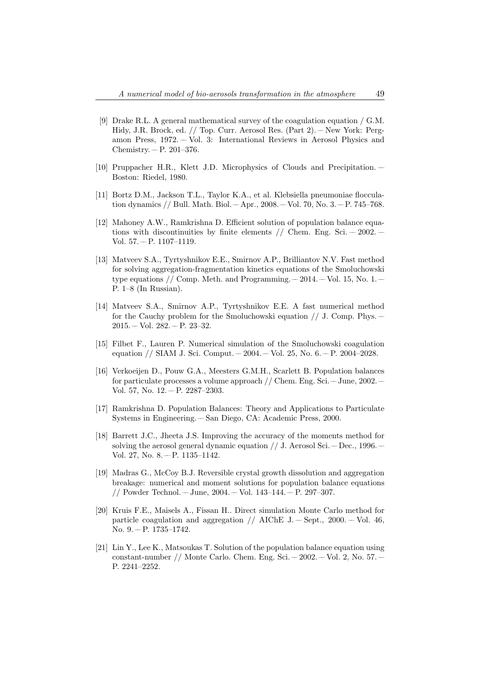- [9] Drake R.L. A general mathematical survey of the coagulation equation / G.M. Hidy, J.R. Brock, ed. // Top. Curr. Aerosol Res. (Part 2). –– New York: Pergamon Press, 1972. –– Vol. 3: International Reviews in Aerosol Physics and Chemistry.  $- P. 201-376$ .
- [10] Pruppacher H.R., Klett J.D. Microphysics of Clouds and Precipitation. –– Boston: Riedel, 1980.
- [11] Bortz D.M., Jackson T.L., Taylor K.A., et al. Klebsiella pneumoniae flocculation dynamics // Bull. Math. Biol. –– Apr., 2008. –– Vol. 70, No. 3. –– P. 745–768.
- [12] Mahoney A.W., Ramkrishna D. Efficient solution of population balance equations with discontinuities by finite elements  $//$  Chem. Eng. Sci.  $-$  2002.  $-$ Vol. 57. –– P. 1107–1119.
- [13] Matveev S.A., Tyrtyshnikov E.E., Smirnov A.P., Brilliantov N.V. Fast method for solving aggregation-fragmentation kinetics equations of the Smoluchowski type equations  $//$  Comp. Meth. and Programming.  $-2014. -Vol.$  15, No. 1. – P. 1–8 (In Russian).
- [14] Matveev S.A., Smirnov A.P., Tyrtyshnikov E.E. A fast numerical method for the Cauchy problem for the Smoluchowski equation  $// J. Comp. Phys.$  $2015. - Vol. 282. - P. 23-32.$
- [15] Filbet F., Lauren P. Numerical simulation of the Smoluchowski coagulation equation // SIAM J. Sci. Comput.  $-2004. -$  Vol. 25, No. 6.  $-$  P. 2004–2028.
- [16] Verkoeijen D., Pouw G.A., Meesters G.M.H., Scarlett B. Population balances for particulate processes a volume approach // Chem. Eng. Sci.–– June, 2002.–– Vol. 57, No. 12. - P. 2287-2303.
- [17] Ramkrishna D. Population Balances: Theory and Applications to Particulate Systems in Engineering. –– San Diego, CA: Academic Press, 2000.
- [18] Barrett J.C., Jheeta J.S. Improving the accuracy of the moments method for solving the aerosol general dynamic equation  $//$  J. Aerosol Sci. –– Dec., 1996. – Vol. 27, No. 8. - P. 1135-1142.
- [19] Madras G., McCoy B.J. Reversible crystal growth dissolution and aggregation breakage: numerical and moment solutions for population balance equations // Powder Technol. –– June, 2004. –– Vol. 143–144. –– P. 297–307.
- [20] Kruis F.E., Maisels A., Fissan H.. Direct simulation Monte Carlo method for particle coagulation and aggregation // AIChE J. – Sept.,  $2000$ . – Vol. 46, No. 9. - P. 1735-1742.
- [21] Lin Y., Lee K., Matsoukas T. Solution of the population balance equation using constant-number // Monte Carlo. Chem. Eng. Sci.  $-2002$ .  $-$  Vol. 2, No. 57.  $-$ P. 2241–2252.